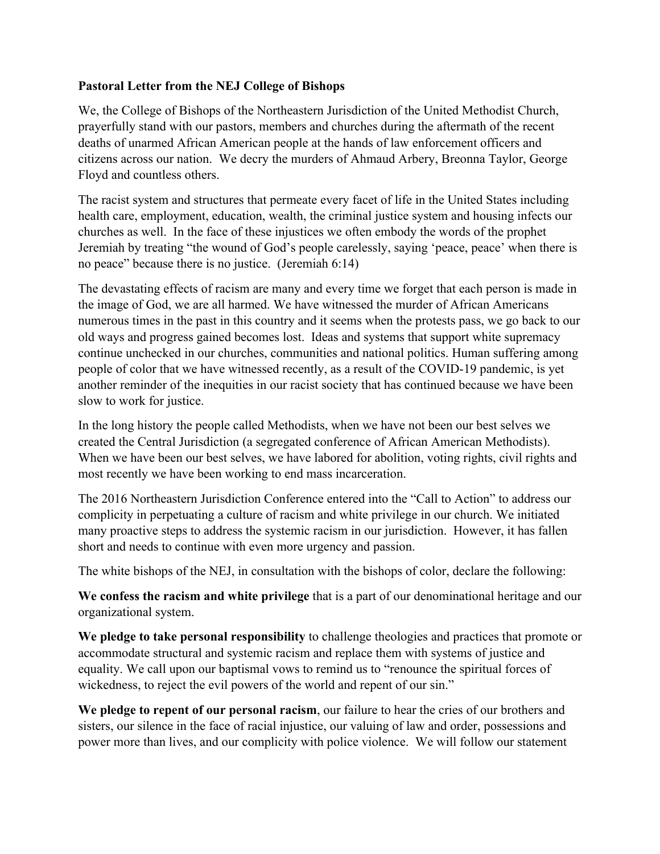## **Pastoral Letter from the NEJ College of Bishops**

We, the College of Bishops of the Northeastern Jurisdiction of the United Methodist Church, prayerfully stand with our pastors, members and churches during the aftermath of the recent deaths of unarmed African American people at the hands of law enforcement officers and citizens across our nation. We decry the murders of Ahmaud Arbery, Breonna Taylor, George Floyd and countless others.

The racist system and structures that permeate every facet of life in the United States including health care, employment, education, wealth, the criminal justice system and housing infects our churches as well. In the face of these injustices we often embody the words of the prophet Jeremiah by treating "the wound of God's people carelessly, saying 'peace, peace' when there is no peace" because there is no justice. (Jeremiah 6:14)

The devastating effects of racism are many and every time we forget that each person is made in the image of God, we are all harmed. We have witnessed the murder of African Americans numerous times in the past in this country and it seems when the protests pass, we go back to our old ways and progress gained becomes lost. Ideas and systems that support white supremacy continue unchecked in our churches, communities and national politics. Human suffering among people of color that we have witnessed recently, as a result of the COVID-19 pandemic, is yet another reminder of the inequities in our racist society that has continued because we have been slow to work for justice.

In the long history the people called Methodists, when we have not been our best selves we created the Central Jurisdiction (a segregated conference of African American Methodists). When we have been our best selves, we have labored for abolition, voting rights, civil rights and most recently we have been working to end mass incarceration.

The 2016 Northeastern Jurisdiction Conference entered into the "Call to Action" to address our complicity in perpetuating a culture of racism and white privilege in our church. We initiated many proactive steps to address the systemic racism in our jurisdiction. However, it has fallen short and needs to continue with even more urgency and passion.

The white bishops of the NEJ, in consultation with the bishops of color, declare the following:

**We confess the racism and white privilege** that is a part of our denominational heritage and our organizational system.

**We pledge to take personal responsibility** to challenge theologies and practices that promote or accommodate structural and systemic racism and replace them with systems of justice and equality. We call upon our baptismal vows to remind us to "renounce the spiritual forces of wickedness, to reject the evil powers of the world and repent of our sin."

**We pledge to repent of our personal racism**, our failure to hear the cries of our brothers and sisters, our silence in the face of racial injustice, our valuing of law and order, possessions and power more than lives, and our complicity with police violence. We will follow our statement